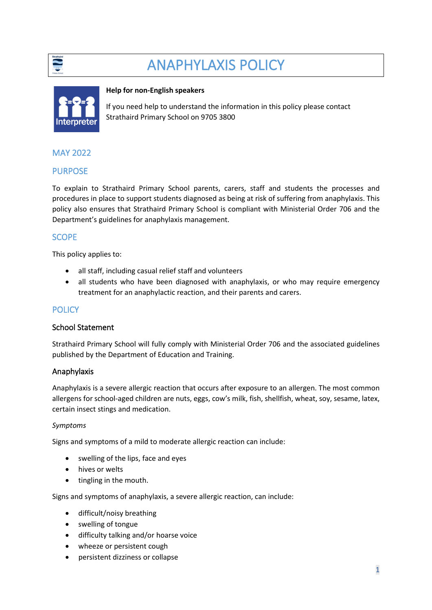

# ANAPHYLAXIS POLICY



#### **Help for non-English speakers**

If you need help to understand the information in this policy please contact Strathaird Primary School on 9705 3800

# MAY 2022

# PURPOSE

To explain to Strathaird Primary School parents, carers, staff and students the processes and procedures in place to support students diagnosed as being at risk of suffering from anaphylaxis. This policy also ensures that Strathaird Primary School is compliant with Ministerial Order 706 and the Department's guidelines for anaphylaxis management.

# **SCOPE**

This policy applies to:

- all staff, including casual relief staff and volunteers
- all students who have been diagnosed with anaphylaxis, or who may require emergency treatment for an anaphylactic reaction, and their parents and carers.

# **POLICY**

#### School Statement

Strathaird Primary School will fully comply with Ministerial Order 706 and the associated guidelines published by the Department of Education and Training.

#### Anaphylaxis

Anaphylaxis is a severe allergic reaction that occurs after exposure to an allergen. The most common allergens for school-aged children are nuts, eggs, cow's milk, fish, shellfish, wheat, soy, sesame, latex, certain insect stings and medication.

#### *Symptoms*

Signs and symptoms of a mild to moderate allergic reaction can include:

- swelling of the lips, face and eyes
- hives or welts
- tingling in the mouth.

Signs and symptoms of anaphylaxis, a severe allergic reaction, can include:

- difficult/noisy breathing
- swelling of tongue
- difficulty talking and/or hoarse voice
- wheeze or persistent cough
- persistent dizziness or collapse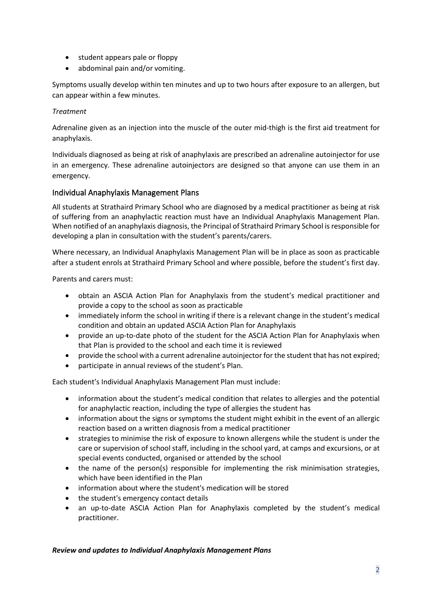- student appears pale or floppy
- abdominal pain and/or vomiting.

Symptoms usually develop within ten minutes and up to two hours after exposure to an allergen, but can appear within a few minutes.

#### *Treatment*

Adrenaline given as an injection into the muscle of the outer mid-thigh is the first aid treatment for anaphylaxis.

Individuals diagnosed as being at risk of anaphylaxis are prescribed an adrenaline autoinjector for use in an emergency. These adrenaline autoinjectors are designed so that anyone can use them in an emergency.

## Individual Anaphylaxis Management Plans

All students at Strathaird Primary School who are diagnosed by a medical practitioner as being at risk of suffering from an anaphylactic reaction must have an Individual Anaphylaxis Management Plan. When notified of an anaphylaxis diagnosis, the Principal of Strathaird Primary School is responsible for developing a plan in consultation with the student's parents/carers.

Where necessary, an Individual Anaphylaxis Management Plan will be in place as soon as practicable after a student enrols at Strathaird Primary School and where possible, before the student's first day.

Parents and carers must:

- obtain an ASCIA Action Plan for Anaphylaxis from the student's medical practitioner and provide a copy to the school as soon as practicable
- immediately inform the school in writing if there is a relevant change in the student's medical condition and obtain an updated ASCIA Action Plan for Anaphylaxis
- provide an up-to-date photo of the student for the ASCIA Action Plan for Anaphylaxis when that Plan is provided to the school and each time it is reviewed
- provide the school with a current adrenaline autoinjector for the student that has not expired;
- participate in annual reviews of the student's Plan.

Each student's Individual Anaphylaxis Management Plan must include:

- information about the student's medical condition that relates to allergies and the potential for anaphylactic reaction, including the type of allergies the student has
- information about the signs or symptoms the student might exhibit in the event of an allergic reaction based on a written diagnosis from a medical practitioner
- strategies to minimise the risk of exposure to known allergens while the student is under the care or supervision of school staff, including in the school yard, at camps and excursions, or at special events conducted, organised or attended by the school
- the name of the person(s) responsible for implementing the risk minimisation strategies, which have been identified in the Plan
- information about where the student's medication will be stored
- the student's emergency contact details
- an up-to-date ASCIA Action Plan for Anaphylaxis completed by the student's medical practitioner.

#### *Review and updates to Individual Anaphylaxis Management Plans*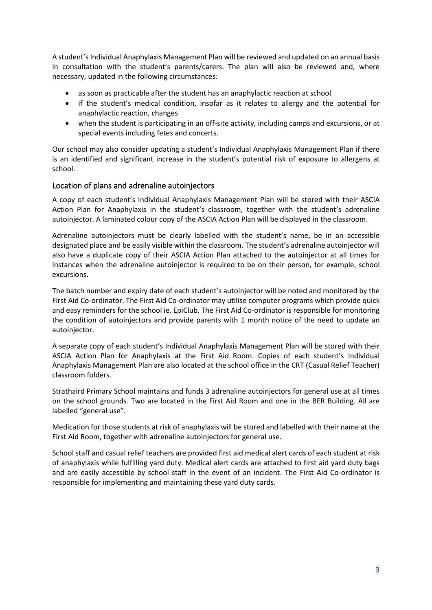A student's Individual Anaphylaxis Management Plan will be reviewed and updated on an annual basis in consultation with the student's parents/carers. The plan will also be reviewed and, where necessary, updated in the following circumstances:

- as soon as practicable after the student has an anaphylactic reaction at school
- if the student's medical condition, insofar as it relates to allergy and the potential for anaphylactic reaction, changes
- when the student is participating in an off-site activity, including camps and excursions, or at special events including fetes and concerts.

Our school may also consider updating a student's Individual Anaphylaxis Management Plan if there is an identified and significant increase in the student's potential risk of exposure to allergens at school.

## Location of plans and adrenaline autoinjectors

A copy of each student's Individual Anaphylaxis Management Plan will be stored with their ASCIA Action Plan for Anaphylaxis in the student's classroom, together with the student's adrenaline autoinjector. A laminated colour copy of the ASCIA Action Plan will be displayed in the classroom.

Adrenaline autoinjectors must be clearly labelled with the student's name, be in an accessible designated place and be easily visible within the classroom. The student's adrenaline autoinjector will also have a duplicate copy of their ASCIA Action Plan attached to the autoinjector at all times for instances when the adrenaline autoinjector is required to be on their person, for example, school excursions.

The batch number and expiry date of each student's autoinjector will be noted and monitored by the First Aid Co-ordinator. The First Aid Co-ordinator may utilise computer programs which provide quick and easy reminders for the school ie. EpiClub. The First Aid Co-ordinator is responsible for monitoring the condition of autoinjectors and provide parents with 1 month notice of the need to update an autoinjector.

A separate copy of each student's Individual Anaphylaxis Management Plan will be stored with their ASCIA Action Plan for Anaphylaxis at the First Aid Room. Copies of each student's Individual Anaphylaxis Management Plan are also located at the school office in the CRT (Casual Relief Teacher) classroom folders.

Strathaird Primary School maintains and funds 3 adrenaline autoinjectors for general use at all times on the school grounds. Two are located in the First Aid Room and one in the BER Building. All are labelled "general use".

Medication for those students at risk of anaphylaxis will be stored and labelled with their name at the First Aid Room, together with adrenaline autoinjectors for general use.

School staff and casual relief teachers are provided first aid medical alert cards of each student at risk of anaphylaxis while fulfilling yard duty. Medical alert cards are attached to first aid yard duty bags and are easily accessible by school staff in the event of an incident. The First Aid Co-ordinator is responsible for implementing and maintaining these yard duty cards.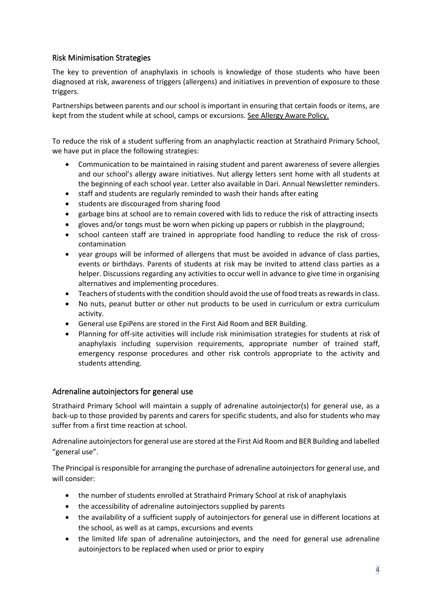# Risk Minimisation Strategies

The key to prevention of anaphylaxis in schools is knowledge of those students who have been diagnosed at risk, awareness of triggers (allergens) and initiatives in prevention of exposure to those triggers.

Partnerships between parents and our school is important in ensuring that certain foods or items, are kept from the student while at school, camps or excursions. See Allergy Aware Policy.

To reduce the risk of a student suffering from an anaphylactic reaction at Strathaird Primary School, we have put in place the following strategies:

- Communication to be maintained in raising student and parent awareness of severe allergies and our school's allergy aware initiatives. Nut allergy letters sent home with all students at the beginning of each school year. Letter also available in Dari. Annual Newsletter reminders.
- staff and students are regularly reminded to wash their hands after eating
- students are discouraged from sharing food
- garbage bins at school are to remain covered with lids to reduce the risk of attracting insects
- gloves and/or tongs must be worn when picking up papers or rubbish in the playground;
- school canteen staff are trained in appropriate food handling to reduce the risk of crosscontamination
- year groups will be informed of allergens that must be avoided in advance of class parties, events or birthdays. Parents of students at risk may be invited to attend class parties as a helper. Discussions regarding any activities to occur well in advance to give time in organising alternatives and implementing procedures.
- Teachers of students with the condition should avoid the use of food treats as rewards in class.
- No nuts, peanut butter or other nut products to be used in curriculum or extra curriculum activity.
- General use EpiPens are stored in the First Aid Room and BER Building.
- Planning for off-site activities will include risk minimisation strategies for students at risk of anaphylaxis including supervision requirements, appropriate number of trained staff, emergency response procedures and other risk controls appropriate to the activity and students attending.

#### Adrenaline autoinjectors for general use

Strathaird Primary School will maintain a supply of adrenaline autoinjector(s) for general use, as a back-up to those provided by parents and carers for specific students, and also for students who may suffer from a first time reaction at school.

Adrenaline autoinjectors for general use are stored at the First Aid Room and BER Building and labelled "general use".

The Principal is responsible for arranging the purchase of adrenaline autoinjectors for general use, and will consider:

- the number of students enrolled at Strathaird Primary School at risk of anaphylaxis
- the accessibility of adrenaline autoinjectors supplied by parents
- the availability of a sufficient supply of autoinjectors for general use in different locations at the school, as well as at camps, excursions and events
- the limited life span of adrenaline autoinjectors, and the need for general use adrenaline autoinjectors to be replaced when used or prior to expiry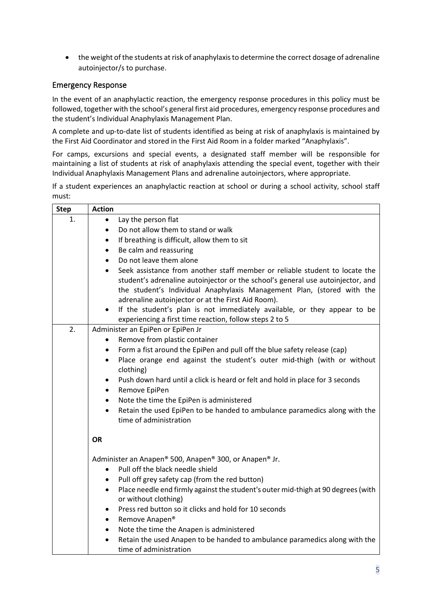• the weight of the students at risk of anaphylaxis to determine the correct dosage of adrenaline autoinjector/s to purchase.

## Emergency Response

In the event of an anaphylactic reaction, the emergency response procedures in this policy must be followed, together with the school's general first aid procedures, emergency response procedures and the student's Individual Anaphylaxis Management Plan.

A complete and up-to-date list of students identified as being at risk of anaphylaxis is maintained by the First Aid Coordinator and stored in the First Aid Room in a folder marked "Anaphylaxis".

For camps, excursions and special events, a designated staff member will be responsible for maintaining a list of students at risk of anaphylaxis attending the special event, together with their Individual Anaphylaxis Management Plans and adrenaline autoinjectors, where appropriate.

If a student experiences an anaphylactic reaction at school or during a school activity, school staff must:

| <b>Step</b> | <b>Action</b>                                                                                                                                                                                                                                                                                                                                                                                        |  |
|-------------|------------------------------------------------------------------------------------------------------------------------------------------------------------------------------------------------------------------------------------------------------------------------------------------------------------------------------------------------------------------------------------------------------|--|
| 1.          | Lay the person flat<br>$\bullet$                                                                                                                                                                                                                                                                                                                                                                     |  |
|             | Do not allow them to stand or walk<br>$\bullet$                                                                                                                                                                                                                                                                                                                                                      |  |
|             | If breathing is difficult, allow them to sit<br>$\bullet$                                                                                                                                                                                                                                                                                                                                            |  |
|             | Be calm and reassuring<br>$\bullet$                                                                                                                                                                                                                                                                                                                                                                  |  |
|             | Do not leave them alone<br>$\bullet$                                                                                                                                                                                                                                                                                                                                                                 |  |
|             | Seek assistance from another staff member or reliable student to locate the<br>$\bullet$<br>student's adrenaline autoinjector or the school's general use autoinjector, and<br>the student's Individual Anaphylaxis Management Plan, (stored with the<br>adrenaline autoinjector or at the First Aid Room).<br>If the student's plan is not immediately available, or they appear to be<br>$\bullet$ |  |
|             | experiencing a first time reaction, follow steps 2 to 5                                                                                                                                                                                                                                                                                                                                              |  |
| 2.          | Administer an EpiPen or EpiPen Jr                                                                                                                                                                                                                                                                                                                                                                    |  |
|             | Remove from plastic container                                                                                                                                                                                                                                                                                                                                                                        |  |
|             | Form a fist around the EpiPen and pull off the blue safety release (cap)<br>$\bullet$                                                                                                                                                                                                                                                                                                                |  |
|             | Place orange end against the student's outer mid-thigh (with or without<br>$\bullet$<br>clothing)                                                                                                                                                                                                                                                                                                    |  |
|             | Push down hard until a click is heard or felt and hold in place for 3 seconds<br>$\bullet$<br>Remove EpiPen<br>$\bullet$                                                                                                                                                                                                                                                                             |  |
|             | Note the time the EpiPen is administered<br>$\bullet$                                                                                                                                                                                                                                                                                                                                                |  |
|             | Retain the used EpiPen to be handed to ambulance paramedics along with the<br>$\bullet$<br>time of administration                                                                                                                                                                                                                                                                                    |  |
|             | <b>OR</b>                                                                                                                                                                                                                                                                                                                                                                                            |  |
|             | Administer an Anapen® 500, Anapen® 300, or Anapen® Jr.                                                                                                                                                                                                                                                                                                                                               |  |
|             | Pull off the black needle shield<br>$\bullet$                                                                                                                                                                                                                                                                                                                                                        |  |
|             | Pull off grey safety cap (from the red button)<br>$\bullet$                                                                                                                                                                                                                                                                                                                                          |  |
|             | Place needle end firmly against the student's outer mid-thigh at 90 degrees (with<br>$\bullet$<br>or without clothing)                                                                                                                                                                                                                                                                               |  |
|             | Press red button so it clicks and hold for 10 seconds<br>$\bullet$                                                                                                                                                                                                                                                                                                                                   |  |
|             | Remove Anapen®<br>$\bullet$                                                                                                                                                                                                                                                                                                                                                                          |  |
|             | Note the time the Anapen is administered<br>$\bullet$                                                                                                                                                                                                                                                                                                                                                |  |
|             | Retain the used Anapen to be handed to ambulance paramedics along with the<br>$\bullet$<br>time of administration                                                                                                                                                                                                                                                                                    |  |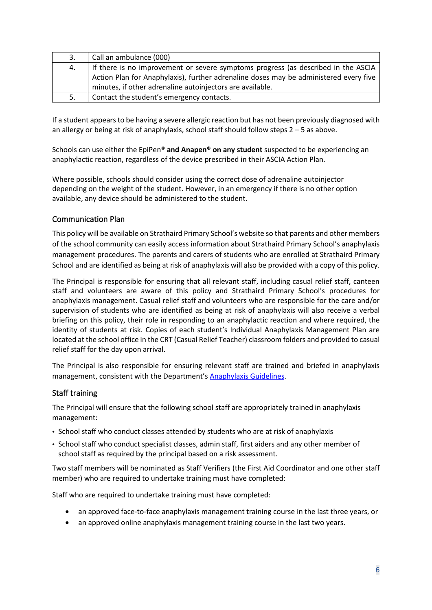| 3. | Call an ambulance (000)                                                               |  |
|----|---------------------------------------------------------------------------------------|--|
| 4. | If there is no improvement or severe symptoms progress (as described in the ASCIA     |  |
|    | Action Plan for Anaphylaxis), further adrenaline doses may be administered every five |  |
|    | minutes, if other adrenaline autoinjectors are available.                             |  |
| 5. | Contact the student's emergency contacts.                                             |  |

If a student appears to be having a severe allergic reaction but has not been previously diagnosed with an allergy or being at risk of anaphylaxis, school staff should follow steps  $2 - 5$  as above.

Schools can use either the EpiPen® **and Anapen® on any student** suspected to be experiencing an anaphylactic reaction, regardless of the device prescribed in their ASCIA Action Plan.

Where possible, schools should consider using the correct dose of adrenaline autoinjector depending on the weight of the student. However, in an emergency if there is no other option available, any device should be administered to the student.

## Communication Plan

This policy will be available on Strathaird Primary School's website so that parents and other members of the school community can easily access information about Strathaird Primary School's anaphylaxis management procedures. The parents and carers of students who are enrolled at Strathaird Primary School and are identified as being at risk of anaphylaxis will also be provided with a copy of this policy.

The Principal is responsible for ensuring that all relevant staff, including casual relief staff, canteen staff and volunteers are aware of this policy and Strathaird Primary School's procedures for anaphylaxis management. Casual relief staff and volunteers who are responsible for the care and/or supervision of students who are identified as being at risk of anaphylaxis will also receive a verbal briefing on this policy, their role in responding to an anaphylactic reaction and where required, the identity of students at risk. Copies of each student's Individual Anaphylaxis Management Plan are located at the school office in the CRT (Casual Relief Teacher) classroom folders and provided to casual relief staff for the day upon arrival.

The Principal is also responsible for ensuring relevant staff are trained and briefed in anaphylaxis management, consistent with the Department's [Anaphylaxis Guidelines.](https://www2.education.vic.gov.au/pal/anaphylaxis/guidance)

#### Staff training

The Principal will ensure that the following school staff are appropriately trained in anaphylaxis management:

- School staff who conduct classes attended by students who are at risk of anaphylaxis
- School staff who conduct specialist classes, admin staff, first aiders and any other member of school staff as required by the principal based on a risk assessment.

Two staff members will be nominated as Staff Verifiers (the First Aid Coordinator and one other staff member) who are required to undertake training must have completed:

Staff who are required to undertake training must have completed:

- an approved face-to-face anaphylaxis management training course in the last three years, or
- an approved online anaphylaxis management training course in the last two years.